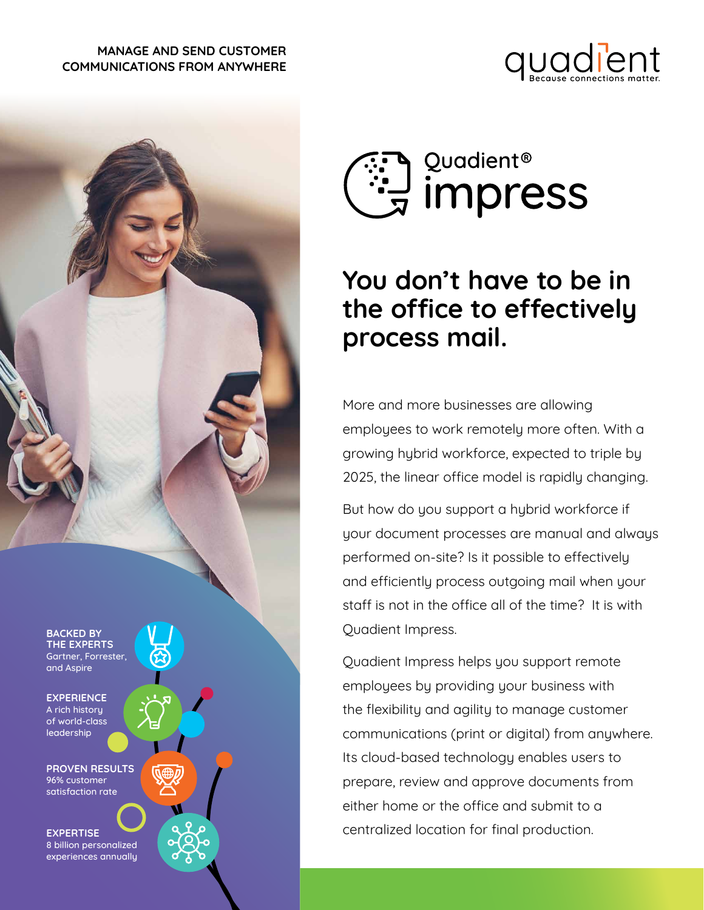#### **MANAGE AND SEND CUSTOMER COMMUNICATIONS FROM ANYWHERE**





**BACKED BY THE EXPERTS** Gartner, Forrester, and Aspire

**EXPERIENCE** A rich historu of world-class leadership

**PROVEN RESULTS** 96% customer satisfaction rate

**EXPERTISE** 8 billion personalized experiences annually



# **You don't have to be in the office to effectively process mail.**

More and more businesses are allowing employees to work remotely more often. With a growing hybrid workforce, expected to triple by 2025, the linear office model is rapidly changing.

But how do you support a hybrid workforce if your document processes are manual and always performed on-site? Is it possible to effectively and efficiently process outgoing mail when your staff is not in the office all of the time? It is with Quadient Impress.

Quadient Impress helps you support remote employees by providing your business with the flexibility and agility to manage customer communications (print or digital) from anywhere. Its cloud-based technology enables users to prepare, review and approve documents from either home or the office and submit to a centralized location for final production.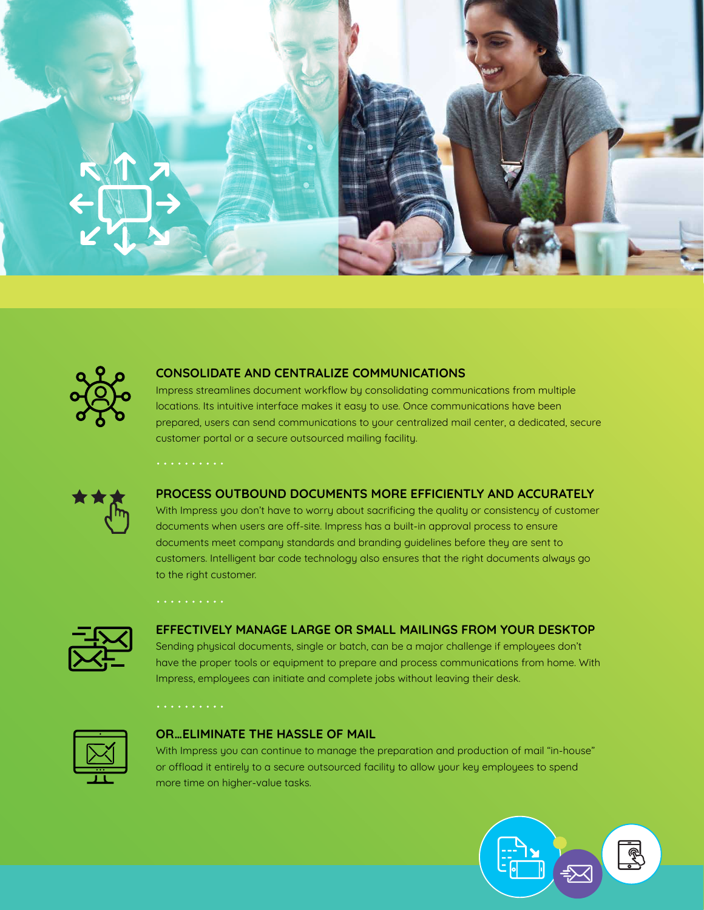



#### **CONSOLIDATE AND CENTRALIZE COMMUNICATIONS**

Impress streamlines document workflow by consolidating communications from multiple locations. Its intuitive interface makes it easy to use. Once communications have been prepared, users can send communications to your centralized mail center, a dedicated, secure customer portal or a secure outsourced mailing facility.

. . . . . . . . . .



#### **PROCESS OUTBOUND DOCUMENTS MORE EFFICIENTLY AND ACCURATELY**

With Impress you don't have to worry about sacrificing the quality or consistency of customer documents when users are off-site. Impress has a built-in approval process to ensure documents meet company standards and branding guidelines before they are sent to customers. Intelligent bar code technology also ensures that the right documents always go to the right customer.

. . . . . . . . . .



#### **EFFECTIVELY MANAGE LARGE OR SMALL MAILINGS FROM YOUR DESKTOP**

Sending physical documents, single or batch, can be a major challenge if employees don't have the proper tools or equipment to prepare and process communications from home. With Impress, employees can initiate and complete jobs without leaving their desk.

. . . . . . . . . .



#### **OR…ELIMINATE THE HASSLE OF MAIL**

With Impress you can continue to manage the preparation and production of mail "in-house" or offload it entirely to a secure outsourced facility to allow your key employees to spend more time on higher-value tasks.

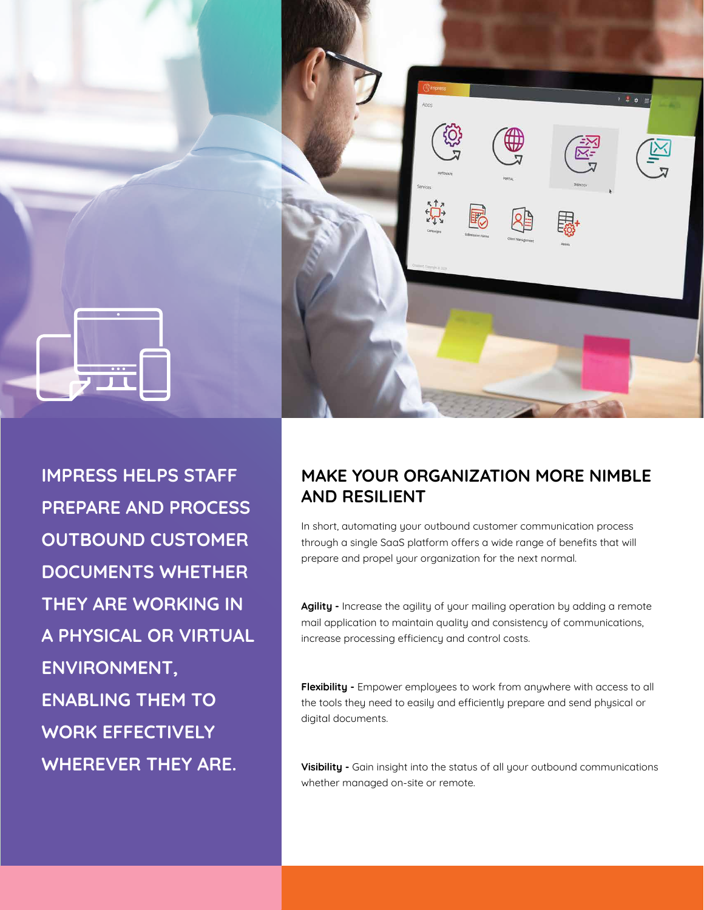

**IMPRESS HELPS STAFF PREPARE AND PROCESS OUTBOUND CUSTOMER DOCUMENTS WHETHER THEY ARE WORKING IN A PHYSICAL OR VIRTUAL ENVIRONMENT, ENABLING THEM TO WORK EFFECTIVELY WHEREVER THEY ARE.**

### **MAKE YOUR ORGANIZATION MORE NIMBLE AND RESILIENT**

In short, automating your outbound customer communication process through a single SaaS platform offers a wide range of benefits that will prepare and propel your organization for the next normal.

**Agility -** Increase the agility of your mailing operation by adding a remote mail application to maintain quality and consistency of communications, increase processing efficiency and control costs.

Flexibility - Empower employees to work from anywhere with access to all the tools they need to easily and efficiently prepare and send physical or digital documents.

**Visibility -** Gain insight into the status of all your outbound communications whether managed on-site or remote.